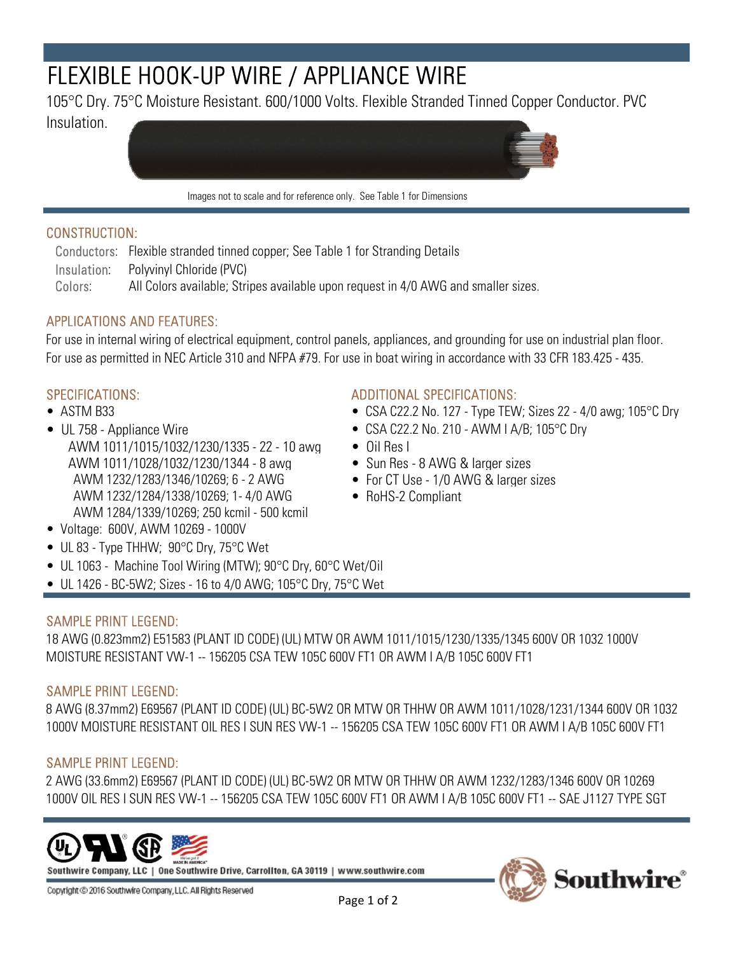# FLEXIBLE HOOK-UP WIRE / APPLIANCE WIRE

105°C Dry. 75°C Moisture Resistant. 600/1000 Volts. Flexible Stranded Tinned Copper Conductor. PVC

Insulation.



Images not to scale and for reference only. See Table 1 for Dimensions

## CONSTRUCTION:

Conductors: Flexible stranded tinned copper; See Table 1 for Stranding Details Insulation: Polyvinyl Chloride (PVC) Colors: All Colors available; Stripes available upon request in 4/0 AWG and smaller sizes.

# APPLICATIONS AND FEATURES:

For use in internal wiring of electrical equipment, control panels, appliances, and grounding for use on industrial plan floor. For use as permitted in NEC Article 310 and NFPA #79. For use in boat wiring in accordance with 33 CFR 183.425 - 435.

- 
- UL 758 Appliance Wire CSA C22.2 No. 210 AWM I A/B; 105 °C Dry AWM 1011/1015/1032/1230/1335 - 22 - 10 awg • Oil Res I AWM 1011/1028/1032/1230/1344 - 8 awg • Sun Res - 8 AWG & larger sizes AWM 1232/1283/1346/10269; 6 - 2 AWG • For CT Use - 1/0 AWG & larger sizes AWM 1232/1284/1338/10269; 1- 4/0 AWG • RoHS-2 Compliant AWM 1284/1339/10269; 250 kcmil - 500 kcmil

#### SPECIFICATIONS: ADDITIONAL SPECIFICATIONS:

- ASTM B33 CSA C22.2 No. 127 Type TEW; Sizes 22 4/0 awg; 105 °C Dry
	-
	-
	-
	-
	-

- Voltage: 600V, AWM 10269 1000V
- UL 83 Type THHW; 90°C Dry, 75°C Wet
- UL 1063 Machine Tool Wiring (MTW); 90°C Dry, 60°C Wet/Oil
- UL 1426 BC-5W2; Sizes 16 to 4/0 AWG; 105 $\degree$ C Dry, 75 $\degree$ C Wet

### SAMPLE PRINT LEGEND:

18 AWG (0.823mm2) E51583 (PLANT ID CODE) (UL) MTW OR AWM 1011/1015/1230/1335/1345 600V OR 1032 1000V MOISTURE RESISTANT VW-1 -- 156205 CSA TEW 105C 600V FT1 OR AWM I A/B 105C 600V FT1

#### SAMPLE PRINT LEGEND:

8 AWG (8.37mm2) E69567 (PLANT ID CODE) (UL) BC-5W2 OR MTW OR THHW OR AWM 1011/1028/1231/1344 600V OR 1032 1000V MOISTURE RESISTANT OIL RES I SUN RES VW-1 -- 156205 CSA TEW 105C 600V FT1 OR AWM I A/B 105C 600V FT1

### SAMPLE PRINT LEGEND:

2 AWG (33.6mm2) E69567 (PLANT ID CODE) (UL) BC-5W2 OR MTW OR THHW OR AWM 1232/1283/1346 600V OR 10269 1000V OIL RES I SUN RES VW-1 -- 156205 CSA TEW 105C 600V FT1 OR AWM I A/B 105C 600V FT1 -- SAE J1127 TYPE SGT



Southwire Company, LLC | One Southwire Drive, Carrollton, GA 30119 | www.southwire.com